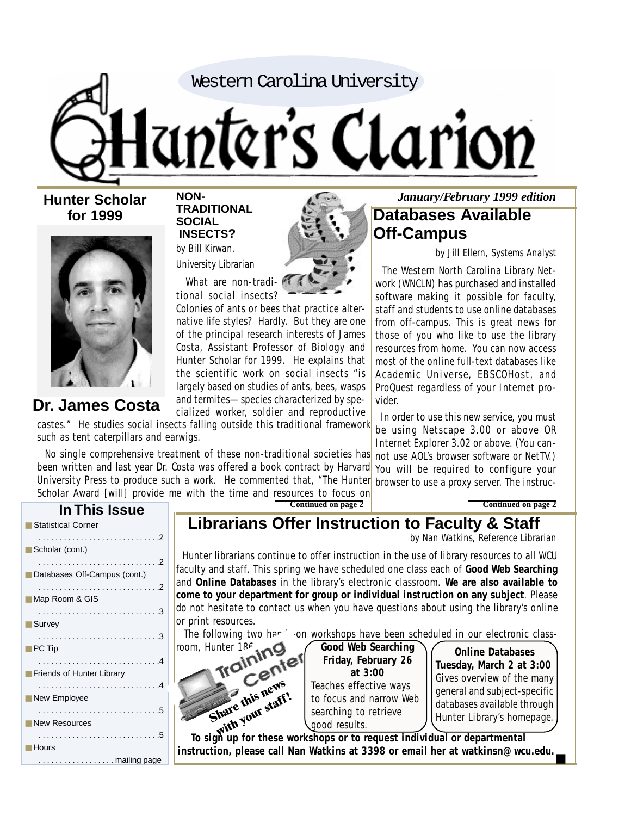Western Carolina University

# anter's Clarion

**Hunter Scholar for 1999**



# **Dr. James Costa**

#### **NON-TRADITIONAL SOCIAL INSECTS?** *by Bill Kirwan,*

*University Librarian*



What are non-tradi tional social insects?

Colonies of ants or bees that practice alternative life styles? Hardly. But they are one of the principal research interests of James Costa, Assistant Professor of Biology and Hunter Scholar for 1999. He explains that the scientific work on social insects "is largely based on studies of ants, bees, wasps and termites—species characterized by specialized worker, soldier and reproductive

castes." He studies social insects falling outside this traditional framework such as tent caterpillars and earwigs.

 No single comprehensive treatment of these non-traditional societies has been written and last year Dr. Costa was offered a book contract by Harvard University Press to produce such a work. He commented that, "The Hunter Scholar Award [will] provide me with the time and resources to focus on

*January/February 1999 edition* **Databases Available Off-Campus**

*by Jill Ellern, Systems Analyst*

 The Western North Carolina Library Network (WNCLN) has purchased and installed software making it possible for faculty, staff and students to use online databases from off-campus. This is great news for those of you who like to use the library resources from home. You can now access most of the online full-text databases like Academic Universe, EBSCOHost, and ProQuest regardless of your Internet provider.

 In order to use this new service, you must be using Netscape 3.00 or above OR Internet Explorer 3.02 or above. (You cannot use AOL's browser software or NetTV.) You will be required to configure your browser to use a proxy server. The instruc-

**Continued on page 2**

| In This Issue                |
|------------------------------|
| Statistical Corner           |
| Scholar (cont.)              |
| Databases Off-Campus (cont.) |
|                              |
| Map Room & GIS               |
| ■ Survey                     |
|                              |
| PC Tip                       |
| Friends of Hunter Library    |
|                              |
| New Employee                 |
| <b>New Resources</b>         |
| Hours                        |
| mailing page                 |

**Continued on page 2**

# **Librarians Offer Instruction to Faculty & Staff**

*by Nan Watkins, Reference Librarian*

 Hunter librarians continue to offer instruction in the use of library resources to all WCU faculty and staff. This spring we have scheduled one class each of **Good Web Searching** and **Online Databases** in the library's electronic classroom. **We are also available to come to your department for group or individual instruction on any subject**. Please do not hesitate to contact us when you have questions about using the library's online or print resources.

The following two hands-on workshops have been scheduled in our electronic class-



**Good Web Searching Friday, February 26 at 3:00** Teaches effective ways searching to retrieve good results.

**Online Databases Tuesday, March 2 at 3:00** Gives overview of the many general and subject-specific databases available through Hunter Library's homepage.

■

**instruction, please call Nan Watkins at 3398 or email her at watkinsn@wcu.edu.**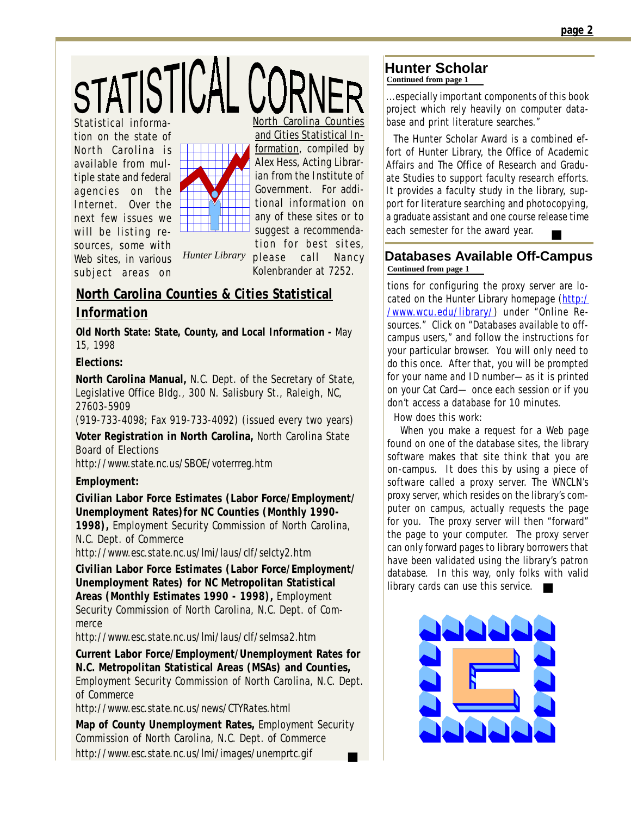STATISTICAL CORNER

Statistical information on the state of North Carolina is available from multiple state and federal agencies on the Internet. Over the next few issues we will be listing resources, some with Web sites, in various subject areas on



and Cities Statistical Information, compiled by

Alex Hess, Acting Librarian from the Institute of Government. For additional information on any of these sites or to suggest a recommenda-

tion for best sites, please call Nancy Kolenbrander at 7252.

# **North Carolina Counties & Cities Statistical Information**

**Old North State: State, County, and Local Information -** May 15, 1998

*Hunter Library*

#### **Elections:**

**North Carolina Manual,** N.C. Dept. of the Secretary of State, Legislative Office Bldg., 300 N. Salisbury St., Raleigh, NC, 27603-5909

(919-733-4098; Fax 919-733-4092) (issued every two years)

**Voter Registration in North Carolina,** North Carolina State Board of Elections *http://www.state.nc.us/SBOE/voterrreg.htm*

#### **Employment:**

**Civilian Labor Force Estimates (Labor Force/Employment/ Unemployment Rates)for NC Counties (Monthly 1990-**

**1998),** Employment Security Commission of North Carolina, N.C. Dept. of Commerce

*http://www.esc.state.nc.us/lmi/laus/clf/selcty2.htm*

**Civilian Labor Force Estimates (Labor Force/Employment/ Unemployment Rates) for NC Metropolitan Statistical Areas (Monthly Estimates 1990 - 1998),** Employment Security Commission of North Carolina, N.C. Dept. of Commerce

*http://www.esc.state.nc.us/lmi/laus/clf/selmsa2.htm*

**Current Labor Force/Employment/Unemployment Rates for N.C. Metropolitan Statistical Areas (MSAs) and Counties,** Employment Security Commission of North Carolina, N.C. Dept. of Commerce

*http://www.esc.state.nc.us/news/CTYRates.html*

■ **Map of County Unemployment Rates,** Employment Security Commission of North Carolina, N.C. Dept. of Commerce *http://www.esc.state.nc.us/lmi/images/unemprtc.gif*

#### **Hunter Scholar Continued from page 1**

...especially important components of this book project which rely heavily on computer database and print literature searches."

 The Hunter Scholar Award is a combined effort of Hunter Library, the Office of Academic Affairs and The Office of Research and Graduate Studies to support faculty research efforts. It provides a faculty study in the library, support for literature searching and photocopying, a graduate assistant and one course release time each semester for the award year. ■

#### **Databases Available Off-Campus Continued from page 1**

tions for configuring the proxy server are located on the Hunter Library homepage (http:/ /www.wcu.edu/library/) under "Online Resources." Click on "Databases available to offcampus users," and follow the instructions for your particular browser. You will only need to do this once. After that, you will be prompted for your name and ID number—as it is printed on your Cat Card— once each session or if you don't access a database for 10 minutes.

How does this work:

library cards can use this service. When you make a request for a Web page found on one of the database sites, the library software makes that site think that you are on-campus. It does this by using a piece of software called a proxy server. The WNCLN's proxy server, which resides on the library's computer on campus, actually requests the page for you. The proxy server will then "forward" the page to your computer. The proxy server can only forward pages to library borrowers that have been validated using the library's patron database. In this way, only folks with valid

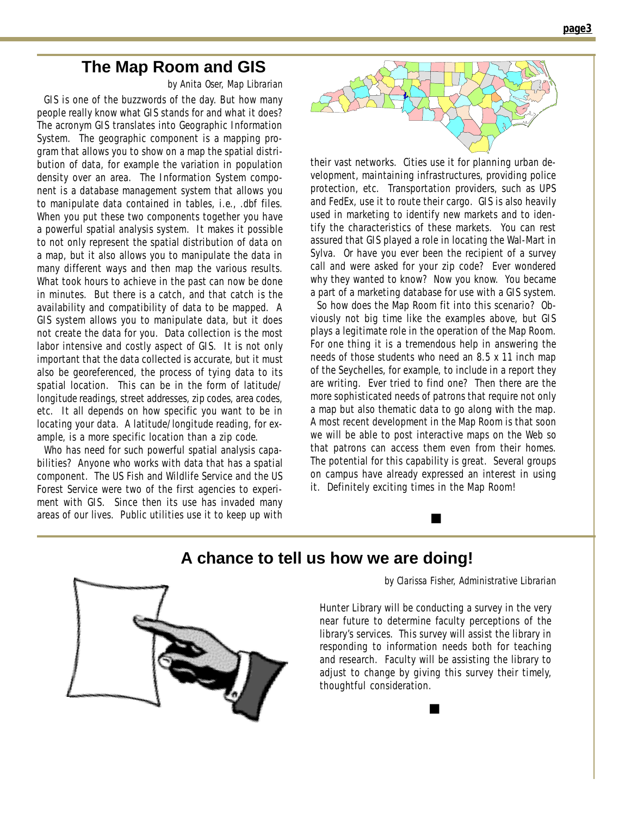# **The Map Room and GIS**

*by Anita Oser, Map Librarian*

 GIS is one of the buzzwords of the day. But how many people really know what GIS stands for and what it does? The acronym GIS translates into Geographic Information System. The geographic component is a mapping program that allows you to show on a map the spatial distribution of data, for example the variation in population density over an area. The Information System component is a database management system that allows you to manipulate data contained in tables, i.e., *.dbf* files. When you put these two components together you have a powerful spatial analysis system. It makes it possible to not only represent the spatial distribution of data on a map, but it also allows you to manipulate the data in many different ways and then map the various results. What took hours to achieve in the past can now be done in minutes. But there is a catch, and that catch is the availability and compatibility of data to be mapped. A GIS system allows you to manipulate data, but it does not create the data for you. Data collection is the most labor intensive and costly aspect of GIS. It is not only important that the data collected is accurate, but it must also be georeferenced, the process of tying data to its spatial location. This can be in the form of latitude/ longitude readings, street addresses, zip codes, area codes, etc. It all depends on how specific you want to be in locating your data. A latitude/longitude reading, for example, is a more specific location than a zip code.

 Who has need for such powerful spatial analysis capabilities? Anyone who works with data that has a spatial component. The US Fish and Wildlife Service and the US Forest Service were two of the first agencies to experiment with GIS. Since then its use has invaded many areas of our lives. Public utilities use it to keep up with



their vast networks. Cities use it for planning urban development, maintaining infrastructures, providing police protection, etc. Transportation providers, such as UPS and FedEx, use it to route their cargo. GIS is also heavily used in marketing to identify new markets and to identify the characteristics of these markets. You can rest assured that GIS played a role in locating the Wal-Mart in Sylva. Or have you ever been the recipient of a survey call and were asked for your zip code? Ever wondered why they wanted to know? Now you know. You became a part of a marketing database for use with a GIS system.

 So how does the Map Room fit into this scenario? Obviously not big time like the examples above, but GIS plays a legitimate role in the operation of the Map Room. For one thing it is a tremendous help in answering the needs of those students who need an 8.5 x 11 inch map of the Seychelles, for example, to include in a report they are writing. Ever tried to find one? Then there are the more sophisticated needs of patrons that require not only a map but also thematic data to go along with the map. A most recent development in the Map Room is that soon we will be able to post interactive maps on the Web so that patrons can access them even from their homes. The potential for this capability is great. Several groups on campus have already expressed an interest in using it. Definitely exciting times in the Map Room!

■

# **A chance to tell us how we are doing!**

*by Clarissa Fisher, Administrative Librarian*

Hunter Library will be conducting a survey in the very near future to determine faculty perceptions of the library's services. This survey will assist the library in responding to information needs both for teaching and research. Faculty will be assisting the library to adjust to change by giving this survey their timely, thoughtful consideration.

■

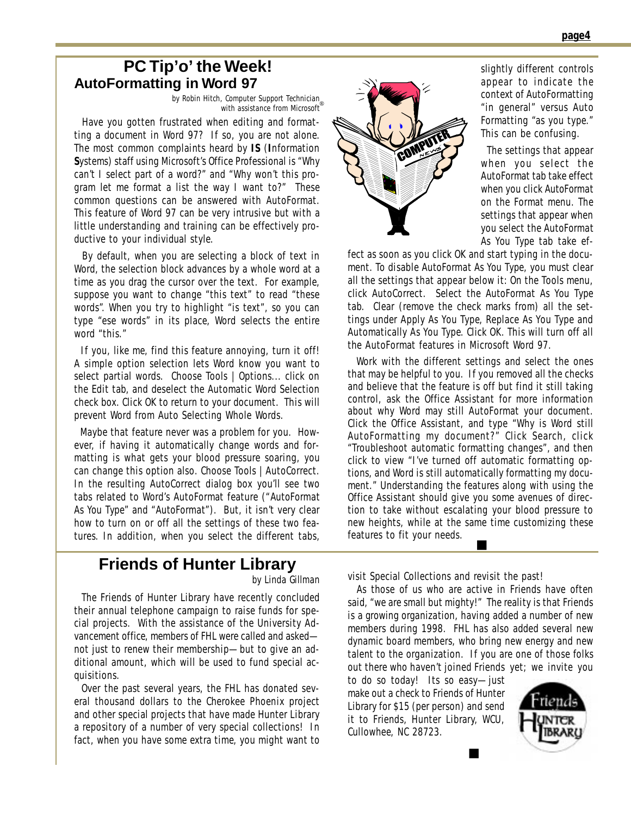### **PC Tip'o' the Week! AutoFormatting in Word 97**

*by Robin Hitch, Computer Support Technician* 7 *with assistance from Microsoft*

 Have you gotten frustrated when editing and formatting a document in Word 97? If so, you are not alone. The most common complaints heard by **IS** (**I**nformation **S**ystems) staff using Microsoft's Office Professional is "Why can't I select part of a word?" and "Why won't this program let me format a list the way I want to?" These common questions can be answered with AutoFormat. This feature of Word 97 can be very intrusive but with a little understanding and training can be effectively productive to your individual style.

 By default, when you are selecting a block of text in Word, the selection block advances by a whole word at a time as you drag the cursor over the text. For example, suppose you want to change "this text" to read "these words". When you try to highlight "is text", so you can type "ese words" in its place, Word selects the entire word "this."

 If you, like me, find this feature annoying, turn it off! A simple option selection lets Word know you want to select partial words. Choose Tools | Options... click on the Edit tab, and deselect the Automatic Word Selection check box. Click OK to return to your document. This will prevent Word from Auto Selecting Whole Words.

 Maybe that feature never was a problem for you. However, if having it automatically change words and formatting is what gets your blood pressure soaring, you can change this option also. Choose Tools | AutoCorrect. In the resulting AutoCorrect dialog box you'll see two tabs related to Word's AutoFormat feature ("*AutoFormat As You Type*" and "*AutoFormat*"). But, it isn't very clear how to turn on or off all the settings of these two features. In addition, when you select the different tabs,



slightly different controls appear to indicate the context of AutoFormatting "in general" versus Auto Formatting "as you type." This can be confusing.

 The settings that appear when you select the AutoFormat tab take effect when you click *AutoFormat* on the Format menu. The settings that appear when you select the *AutoFormat As You Type* tab take ef-

fect as soon as you click OK and start typing in the document. To disable *AutoFormat As You Type*, you must clear all the settings that appear below it: On the Tools menu, click AutoCorrect. Select the *AutoFormat As You Type* tab. Clear (remove the check marks from) all the settings under Apply As You Type, Replace As You Type and Automatically As You Type. Click OK. This will turn off all the AutoFormat features in Microsoft Word 97.

■ Work with the different settings and select the ones that may be helpful to you. If you removed all the checks and believe that the feature is off but find it still taking control, ask the Office Assistant for more information about why Word may still AutoFormat your document. Click the Office Assistant, and type "Why is Word still AutoFormatting my document?" Click Search, click "Troubleshoot automatic formatting changes", and then click to view "I've turned off automatic formatting options, and Word is still automatically formatting my document." Understanding the features along with using the Office Assistant should give you some avenues of direction to take without escalating your blood pressure to new heights, while at the same time customizing these features to fit your needs.

# **Friends of Hunter Library**

 The Friends of Hunter Library have recently concluded their annual telephone campaign to raise funds for special projects. With the assistance of the University Advancement office, members of FHL were called and asked not just to renew their membership—but to give an additional amount, which will be used to fund special acquisitions.

 Over the past several years, the FHL has donated several thousand dollars to the Cherokee Phoenix project and other special projects that have made Hunter Library a repository of a number of very special collections! In fact, when you have some extra time, you might want to

*by Linda Gillman* visit Special Collections and revisit the past!

 As those of us who are active in Friends have often said, "we are small but mighty!" The reality is that Friends is a *growing organization*, having added a number of new members during 1998. FHL has also added several new dynamic board members, who bring new energy and new talent to the organization. If you are one of those folks out there who haven't joined Friends yet; we invite you

■

to do so today! Its so easy—just make out a check to Friends of Hunter Library for \$15 (per person) and send it to Friends, Hunter Library, WCU, Cullowhee, NC 28723.

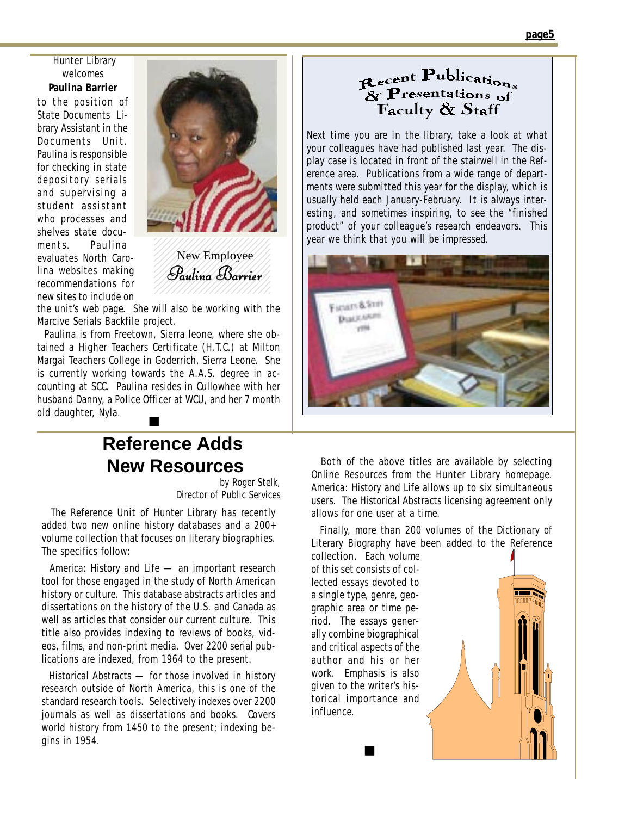Hunter Library welcomes

**Paulina Barrier** to the position of State Documents Library Assistant in the Documents Unit. Paulina is responsible for checking in state depository serials and supervising a student assistant who processes and shelves state documents. Paulina evaluates North Carolina websites making recommendations for new sites to include on



///New Employee/// *Paulina Barrier* 1 2 1234567890123456789012

the unit's web page. She will also be working with the Marcive Serials Backfile project.

■ Paulina is from Freetown, Sierra leone, where she obtained a Higher Teachers Certificate (H.T.C.) at Milton Margai Teachers College in Goderrich, Sierra Leone. She is currently working towards the A.A.S. degree in accounting at SCC. Paulina resides in Cullowhee with her husband Danny, a Police Officer at WCU, and her 7 month old daughter, Nyla.

# **Reference Adds New Resources**

*by Roger Stelk, Director of Public Services*

 The Reference Unit of Hunter Library has recently added two new online history databases and a 200+ volume collection that focuses on literary biographies. The specifics follow:

 *America: History and Life* — an important research tool for those engaged in the study of North American history or culture. This database abstracts articles and dissertations on the history of the U.S. and Canada as well as articles that consider our current culture. This title also provides indexing to reviews of books, videos, films, and non-print media. Over 2200 serial publications are indexed, from 1964 to the present.

 *Historical Abstracts* — for those involved in history research outside of North America, this is one of the standard research tools. Selectively indexes over 2200 journals as well as dissertations and books. Covers world history from 1450 to the present; indexing begins in 1954.

# Recent Publications<br>& Presentations of<br>Faculty & Staff

Next time you are in the library, take a look at what your colleagues have had published last year. The display case is located in front of the stairwell in the Reference area. Publications from a wide range of departments were submitted this year for the display, which is usually held each January-February. It is always interesting, and sometimes inspiring, to see the "finished product" of your colleague's research endeavors. This year we think that you will be impressed.



 Both of the above titles are available by selecting Online Resources from the Hunter Library homepage. *America: History and Life* allows up to six simultaneous users. The *Historical Abstracts* licensing agreement only allows for one user at a time.

 Finally, more than 200 volumes of the *Dictionary of Literary Biography* have been added to the Reference

collection. Each volume of this set consists of collected essays devoted to a single type, genre, geographic area or time period. The essays generally combine biographical and critical aspects of the author and his or her work. Emphasis is also given to the writer's historical importance and influence.

■